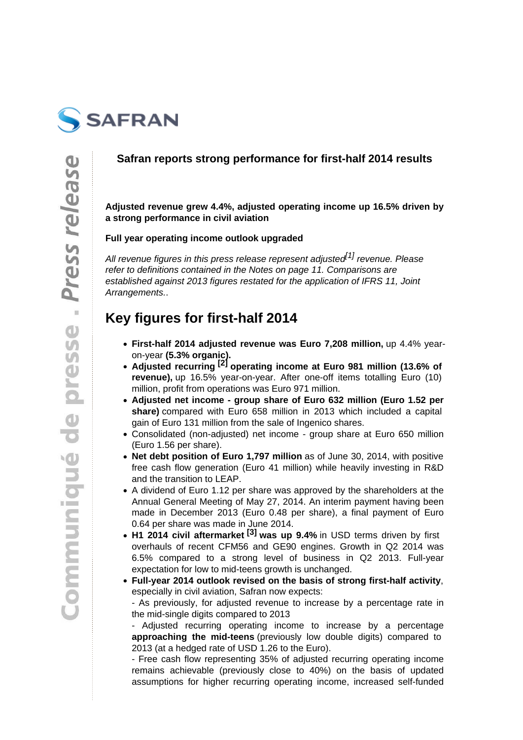

### **Safran reports strong performance for first-half 2014 results**

**Adjusted revenue grew 4.4%, adjusted operating income up 16.5% driven by a strong performance in civil aviation**

#### **Full year operating income outlook upgraded**

All revenue figures in this press release represent adjusted<sup>[1]</sup> revenue. Please refer to definitions contained in the Notes on page 11. Comparisons are established against 2013 figures restated for the application of IFRS 11, Joint Arrangements..

## **Key figures for first-half 2014**

- **First-half 2014 adjusted revenue was Euro 7,208 million,** up 4.4% yearon-year **(5.3% organic).**
- **Adjusted recurring [2] operating income at Euro 981 million (13.6% of revenue),** up 16.5% year-on-year. After one-off items totalling Euro (10) million, profit from operations was Euro 971 million.
- **Adjusted net income group share of Euro 632 million (Euro 1.52 per share)** compared with Euro 658 million in 2013 which included a capital gain of Euro 131 million from the sale of Ingenico shares.
- Consolidated (non-adjusted) net income group share at Euro 650 million (Euro 1.56 per share).
- **Net debt position of Euro 1,797 million** as of June 30, 2014, with positive free cash flow generation (Euro 41 million) while heavily investing in R&D and the transition to LEAP.
- A dividend of Euro 1.12 per share was approved by the shareholders at the Annual General Meeting of May 27, 2014. An interim payment having been made in December 2013 (Euro 0.48 per share), a final payment of Euro 0.64 per share was made in June 2014.
- **H1 2014 civil aftermarket [3] was up 9.4%** in USD terms driven by first overhauls of recent CFM56 and GE90 engines. Growth in Q2 2014 was 6.5% compared to a strong level of business in Q2 2013. Full-year expectation for low to mid-teens growth is unchanged.
- **Full-year 2014 outlook revised on the basis of strong first-half activity**, especially in civil aviation, Safran now expects: - As previously, for adjusted revenue to increase by a percentage rate in the mid-single digits compared to 2013

- Adjusted recurring operating income to increase by a percentage **approaching the mid-teens** (previously low double digits) compared to 2013 (at a hedged rate of USD 1.26 to the Euro).

- Free cash flow representing 35% of adjusted recurring operating income remains achievable (previously close to 40%) on the basis of updated assumptions for higher recurring operating income, increased self-funded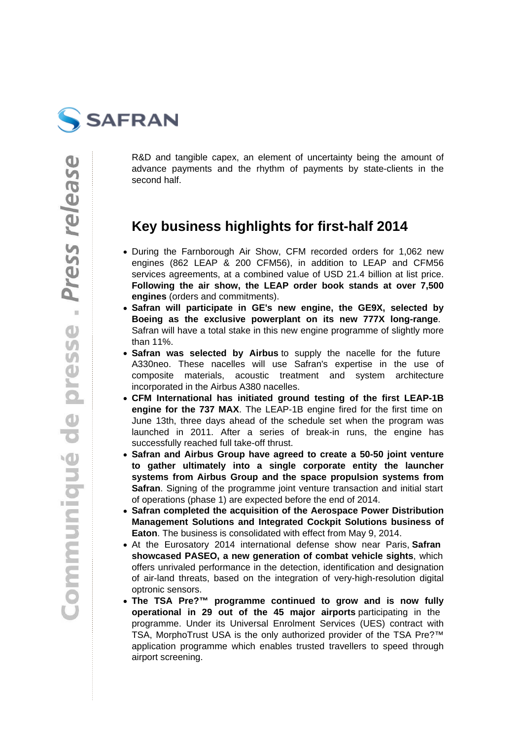

R&D and tangible capex, an element of uncertainty being the amount of advance payments and the rhythm of payments by state-clients in the second half.

## **Key business highlights for first-half 2014**

- During the Farnborough Air Show, CFM recorded orders for 1,062 new engines (862 LEAP & 200 CFM56), in addition to LEAP and CFM56 services agreements, at a combined value of USD 21.4 billion at list price. **Following the air show, the LEAP order book stands at over 7,500 engines** (orders and commitments).
- **Safran will participate in GE's new engine, the GE9X, selected by Boeing as the exclusive powerplant on its new 777X long-range**. Safran will have a total stake in this new engine programme of slightly more than 11%.
- **Safran was selected by Airbus** to supply the nacelle for the future A330neo. These nacelles will use Safran's expertise in the use of composite materials, acoustic treatment and system architecture incorporated in the Airbus A380 nacelles.
- **CFM International has initiated ground testing of the first LEAP-1B engine for the 737 MAX**. The LEAP-1B engine fired for the first time on June 13th, three days ahead of the schedule set when the program was launched in 2011. After a series of break-in runs, the engine has successfully reached full take-off thrust.
- **Safran and Airbus Group have agreed to create a 50-50 joint venture**   $\bullet$ **to gather ultimately into a single corporate entity the launcher systems from Airbus Group and the space propulsion systems from Safran**. Signing of the programme joint venture transaction and initial start of operations (phase 1) are expected before the end of 2014.
- **Safran completed the acquisition of the Aerospace Power Distribution Management Solutions and Integrated Cockpit Solutions business of Eaton**. The business is consolidated with effect from May 9, 2014.
- At the Eurosatory 2014 international defense show near Paris, **Safran showcased PASEO, a new generation of combat vehicle sights**, which offers unrivaled performance in the detection, identification and designation of air-land threats, based on the integration of very-high-resolution digital optronic sensors.
- **The TSA Pre?™ programme continued to grow and is now fully**   $\bullet$ **operational in 29 out of the 45 major airports** participating in the programme. Under its Universal Enrolment Services (UES) contract with TSA, MorphoTrust USA is the only authorized provider of the TSA Pre?™ application programme which enables trusted travellers to speed through airport screening.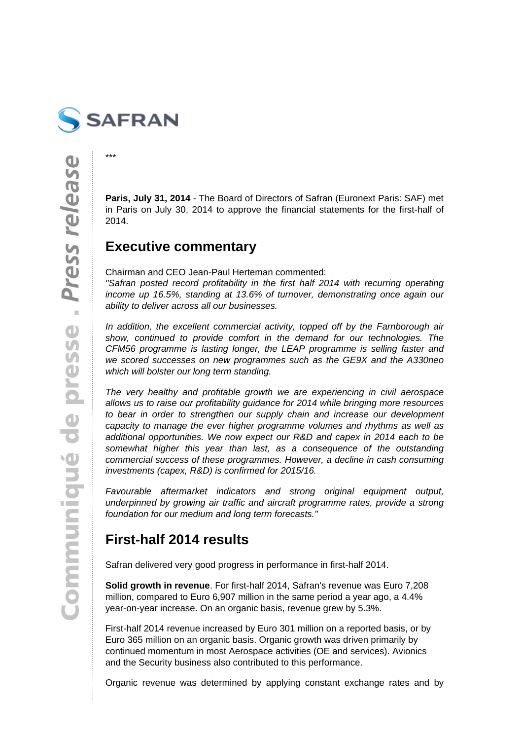

\*\*\*

**Paris, July 31, 2014** - The Board of Directors of Safran (Euronext Paris: SAF) met in Paris on July 30, 2014 to approve the financial statements for the first-half of 2014.

### **Executive commentary**

Chairman and CEO Jean-Paul Herteman commented:

"Safran posted record profitability in the first half 2014 with recurring operating income up 16.5%, standing at 13.6% of turnover, demonstrating once again our ability to deliver across all our businesses.

In addition, the excellent commercial activity, topped off by the Farnborough air show, continued to provide comfort in the demand for our technologies. The CFM56 programme is lasting longer, the LEAP programme is selling faster and we scored successes on new programmes such as the GE9X and the A330neo which will bolster our long term standing.

The very healthy and profitable growth we are experiencing in civil aerospace allows us to raise our profitability guidance for 2014 while bringing more resources to bear in order to strengthen our supply chain and increase our development capacity to manage the ever higher programme volumes and rhythms as well as additional opportunities. We now expect our R&D and capex in 2014 each to be somewhat higher this year than last, as a consequence of the outstanding commercial success of these programmes. However, a decline in cash consuming investments (capex, R&D) is confirmed for 2015/16.

Favourable aftermarket indicators and strong original equipment output, underpinned by growing air traffic and aircraft programme rates, provide a strong foundation for our medium and long term forecasts."

## **First-half 2014 results**

Safran delivered very good progress in performance in first-half 2014.

**Solid growth in revenue**. For first-half 2014, Safran's revenue was Euro 7,208 million, compared to Euro 6,907 million in the same period a year ago, a 4.4% year-on-year increase. On an organic basis, revenue grew by 5.3%.

First-half 2014 revenue increased by Euro 301 million on a reported basis, or by Euro 365 million on an organic basis. Organic growth was driven primarily by continued momentum in most Aerospace activities (OE and services). Avionics and the Security business also contributed to this performance.

Organic revenue was determined by applying constant exchange rates and by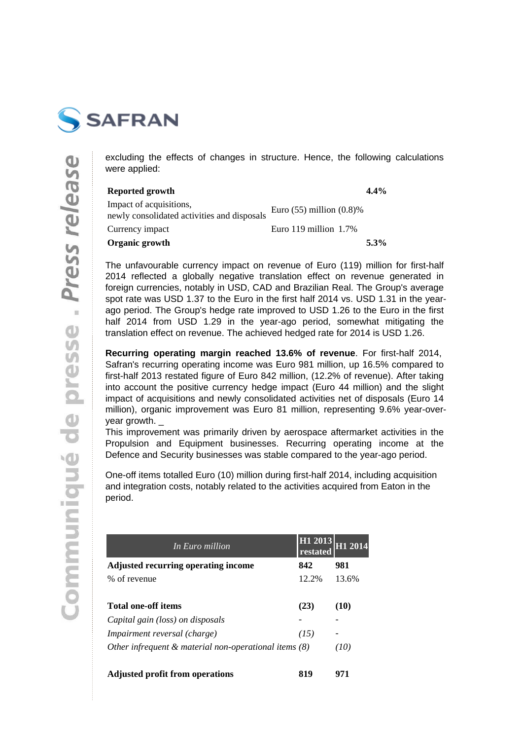

excluding the effects of changes in structure. Hence, the following calculations were applied:

| Reported growth                                                        |                               | $4.4\%$ |
|------------------------------------------------------------------------|-------------------------------|---------|
| Impact of acquisitions,<br>newly consolidated activities and disposals | Euro $(55)$ million $(0.8)$ % |         |
| Currency impact                                                        | Euro 119 million $1.7\%$      |         |
| Organic growth                                                         |                               | $5.3\%$ |

The unfavourable currency impact on revenue of Euro (119) million for first-half 2014 reflected a globally negative translation effect on revenue generated in foreign currencies, notably in USD, CAD and Brazilian Real. The Group's average spot rate was USD 1.37 to the Euro in the first half 2014 vs. USD 1.31 in the yearago period. The Group's hedge rate improved to USD 1.26 to the Euro in the first half 2014 from USD 1.29 in the year-ago period, somewhat mitigating the translation effect on revenue. The achieved hedged rate for 2014 is USD 1.26.

**Recurring operating margin reached 13.6% of revenue**. For first-half 2014, Safran's recurring operating income was Euro 981 million, up 16.5% compared to first-half 2013 restated figure of Euro 842 million, (12.2% of revenue). After taking into account the positive currency hedge impact (Euro 44 million) and the slight impact of acquisitions and newly consolidated activities net of disposals (Euro 14 million), organic improvement was Euro 81 million, representing 9.6% year-overyear growth. \_

This improvement was primarily driven by aerospace aftermarket activities in the Propulsion and Equipment businesses. Recurring operating income at the Defence and Security businesses was stable compared to the year-ago period.

One-off items totalled Euro (10) million during first-half 2014, including acquisition and integration costs, notably related to the activities acquired from Eaton in the period.

| In Euro million                                          | H <sub>1</sub> 2013<br>restated | H1 2014 |
|----------------------------------------------------------|---------------------------------|---------|
| <b>Adjusted recurring operating income</b>               | 842                             | 981     |
| % of revenue                                             | 12.2%                           | 13.6%   |
| Total one-off items                                      | (23)                            | (10)    |
| Capital gain (loss) on disposals                         |                                 |         |
| Impairment reversal (charge)                             | (15)                            |         |
| Other infrequent $\&$ material non-operational items (8) |                                 | (10)    |
| <b>Adjusted profit from operations</b>                   | 819                             | 971     |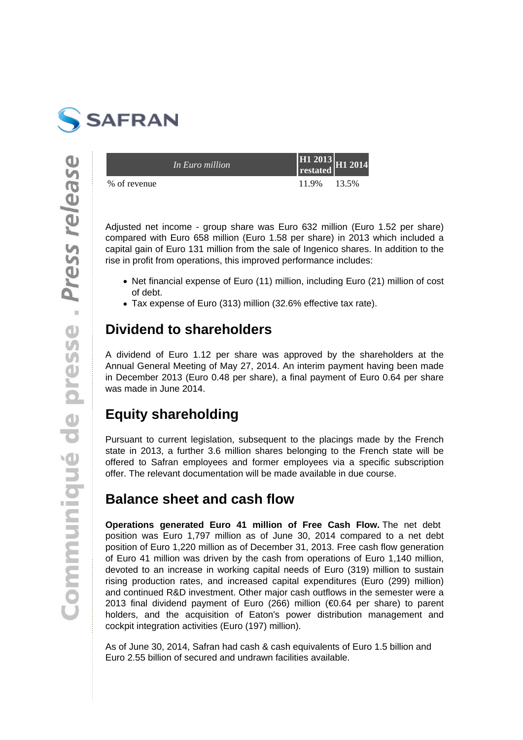

|              | In Euro million | $\frac{112013}{\text{restated}}$ H <sub>1</sub> 2014 |       |
|--------------|-----------------|------------------------------------------------------|-------|
| % of revenue |                 | 11.9%                                                | 13.5% |

Adjusted net income - group share was Euro 632 million (Euro 1.52 per share) compared with Euro 658 million (Euro 1.58 per share) in 2013 which included a capital gain of Euro 131 million from the sale of Ingenico shares. In addition to the rise in profit from operations, this improved performance includes:

- Net financial expense of Euro (11) million, including Euro (21) million of cost of debt.
- Tax expense of Euro (313) million (32.6% effective tax rate).

## **Dividend to shareholders**

A dividend of Euro 1.12 per share was approved by the shareholders at the Annual General Meeting of May 27, 2014. An interim payment having been made in December 2013 (Euro 0.48 per share), a final payment of Euro 0.64 per share was made in June 2014.

# **Equity shareholding**

Pursuant to current legislation, subsequent to the placings made by the French state in 2013, a further 3.6 million shares belonging to the French state will be offered to Safran employees and former employees via a specific subscription offer. The relevant documentation will be made available in due course.

## **Balance sheet and cash flow**

**Operations generated Euro 41 million of Free Cash Flow.** The net debt position was Euro 1,797 million as of June 30, 2014 compared to a net debt position of Euro 1,220 million as of December 31, 2013. Free cash flow generation of Euro 41 million was driven by the cash from operations of Euro 1,140 million, devoted to an increase in working capital needs of Euro (319) million to sustain rising production rates, and increased capital expenditures (Euro (299) million) and continued R&D investment. Other major cash outflows in the semester were a 2013 final dividend payment of Euro (266) million (€0.64 per share) to parent holders, and the acquisition of Eaton's power distribution management and cockpit integration activities (Euro (197) million).

As of June 30, 2014, Safran had cash & cash equivalents of Euro 1.5 billion and Euro 2.55 billion of secured and undrawn facilities available.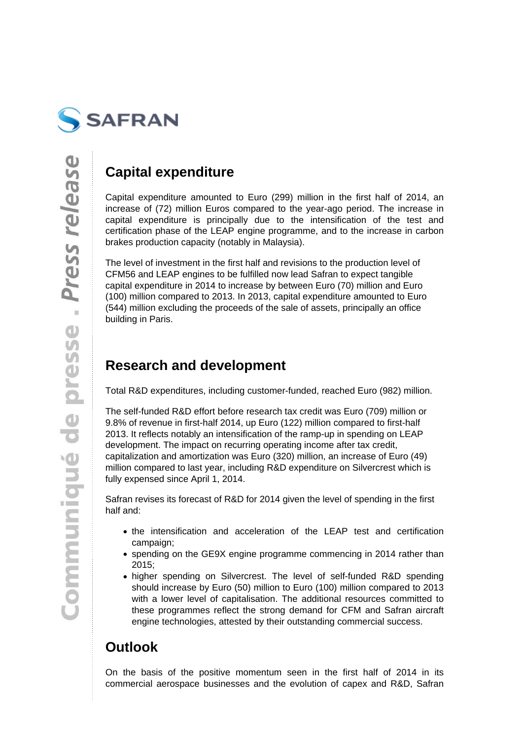

## **Capital expenditure**

Capital expenditure amounted to Euro (299) million in the first half of 2014, an increase of (72) million Euros compared to the year-ago period. The increase in capital expenditure is principally due to the intensification of the test and certification phase of the LEAP engine programme, and to the increase in carbon brakes production capacity (notably in Malaysia).

The level of investment in the first half and revisions to the production level of CFM56 and LEAP engines to be fulfilled now lead Safran to expect tangible capital expenditure in 2014 to increase by between Euro (70) million and Euro (100) million compared to 2013. In 2013, capital expenditure amounted to Euro (544) million excluding the proceeds of the sale of assets, principally an office building in Paris.

## **Research and development**

Total R&D expenditures, including customer-funded, reached Euro (982) million.

The self-funded R&D effort before research tax credit was Euro (709) million or 9.8% of revenue in first-half 2014, up Euro (122) million compared to first-half 2013. It reflects notably an intensification of the ramp-up in spending on LEAP development. The impact on recurring operating income after tax credit, capitalization and amortization was Euro (320) million, an increase of Euro (49) million compared to last year, including R&D expenditure on Silvercrest which is fully expensed since April 1, 2014.

Safran revises its forecast of R&D for 2014 given the level of spending in the first half and:

- the intensification and acceleration of the LEAP test and certification campaign;
- spending on the GE9X engine programme commencing in 2014 rather than 2015;
- higher spending on Silvercrest. The level of self-funded R&D spending should increase by Euro (50) million to Euro (100) million compared to 2013 with a lower level of capitalisation. The additional resources committed to these programmes reflect the strong demand for CFM and Safran aircraft engine technologies, attested by their outstanding commercial success.

# **Outlook**

On the basis of the positive momentum seen in the first half of 2014 in its commercial aerospace businesses and the evolution of capex and R&D, Safran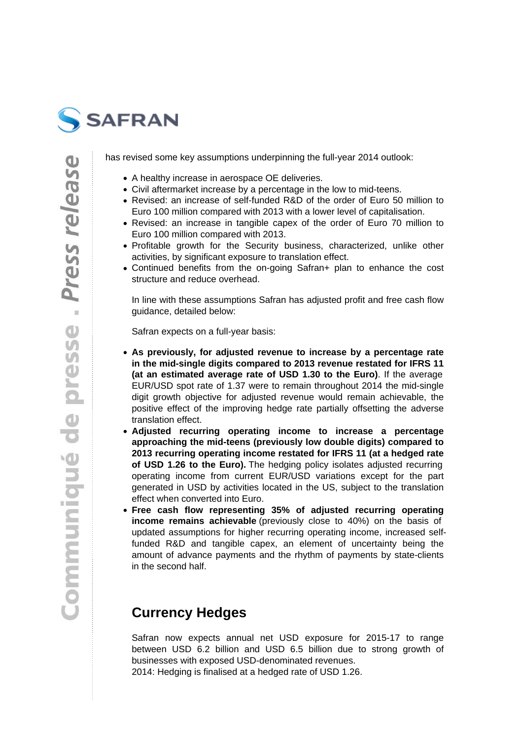

has revised some key assumptions underpinning the full-year 2014 outlook:

- A healthy increase in aerospace OE deliveries.
- Civil aftermarket increase by a percentage in the low to mid-teens.
- Revised: an increase of self-funded R&D of the order of Euro 50 million to Euro 100 million compared with 2013 with a lower level of capitalisation.
- Revised: an increase in tangible capex of the order of Euro 70 million to Euro 100 million compared with 2013.
- Profitable growth for the Security business, characterized, unlike other activities, by significant exposure to translation effect.
- Continued benefits from the on-going Safran+ plan to enhance the cost structure and reduce overhead.

In line with these assumptions Safran has adjusted profit and free cash flow guidance, detailed below:

Safran expects on a full-year basis:

- **As previously, for adjusted revenue to increase by a percentage rate in the mid-single digits compared to 2013 revenue restated for IFRS 11 (at an estimated average rate of USD 1.30 to the Euro)**. If the average EUR/USD spot rate of 1.37 were to remain throughout 2014 the mid-single digit growth objective for adjusted revenue would remain achievable, the positive effect of the improving hedge rate partially offsetting the adverse translation effect.
- **Adjusted recurring operating income to increase a percentage approaching the mid-teens (previously low double digits) compared to 2013 recurring operating income restated for IFRS 11 (at a hedged rate of USD 1.26 to the Euro).** The hedging policy isolates adjusted recurring operating income from current EUR/USD variations except for the part generated in USD by activities located in the US, subject to the translation effect when converted into Euro.
- **Free cash flow representing 35% of adjusted recurring operating income remains achievable** (previously close to 40%) on the basis of updated assumptions for higher recurring operating income, increased selffunded R&D and tangible capex, an element of uncertainty being the amount of advance payments and the rhythm of payments by state-clients in the second half.

## **Currency Hedges**

Safran now expects annual net USD exposure for 2015-17 to range between USD 6.2 billion and USD 6.5 billion due to strong growth of businesses with exposed USD-denominated revenues. 2014: Hedging is finalised at a hedged rate of USD 1.26.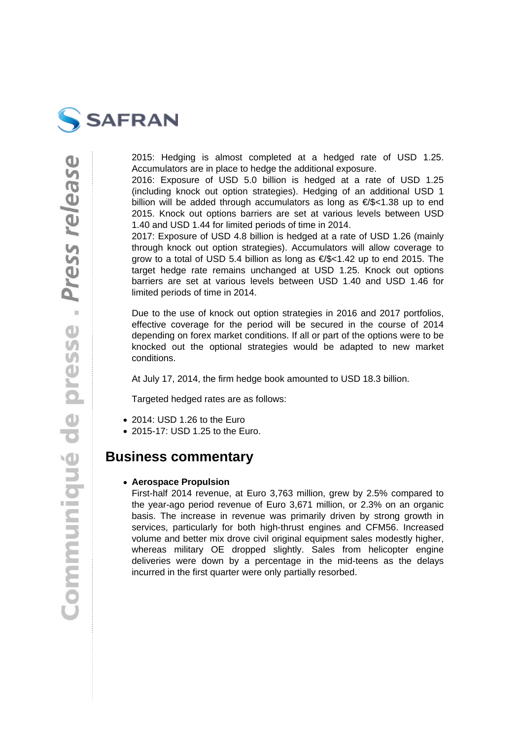

2015: Hedging is almost completed at a hedged rate of USD 1.25. Accumulators are in place to hedge the additional exposure.

2016: Exposure of USD 5.0 billion is hedged at a rate of USD 1.25 (including knock out option strategies). Hedging of an additional USD 1 billion will be added through accumulators as long as €/\$<1.38 up to end 2015. Knock out options barriers are set at various levels between USD 1.40 and USD 1.44 for limited periods of time in 2014.

2017: Exposure of USD 4.8 billion is hedged at a rate of USD 1.26 (mainly through knock out option strategies). Accumulators will allow coverage to grow to a total of USD 5.4 billion as long as  $\epsilon$ /\$<1.42 up to end 2015. The target hedge rate remains unchanged at USD 1.25. Knock out options barriers are set at various levels between USD 1.40 and USD 1.46 for limited periods of time in 2014.

Due to the use of knock out option strategies in 2016 and 2017 portfolios, effective coverage for the period will be secured in the course of 2014 depending on forex market conditions. If all or part of the options were to be knocked out the optional strategies would be adapted to new market conditions.

At July 17, 2014, the firm hedge book amounted to USD 18.3 billion.

Targeted hedged rates are as follows:

- 2014: USD 1.26 to the Euro
- 2015-17: USD 1.25 to the Euro.

### **Business commentary**

#### **Aerospace Propulsion**

First-half 2014 revenue, at Euro 3,763 million, grew by 2.5% compared to the year-ago period revenue of Euro 3,671 million, or 2.3% on an organic basis. The increase in revenue was primarily driven by strong growth in services, particularly for both high-thrust engines and CFM56. Increased volume and better mix drove civil original equipment sales modestly higher, whereas military OE dropped slightly. Sales from helicopter engine deliveries were down by a percentage in the mid-teens as the delays incurred in the first quarter were only partially resorbed.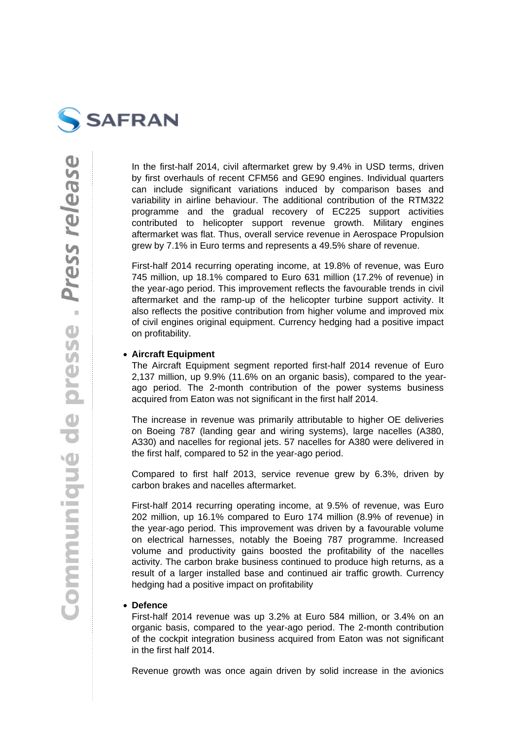

In the first-half 2014, civil aftermarket grew by 9.4% in USD terms, driven by first overhauls of recent CFM56 and GE90 engines. Individual quarters can include significant variations induced by comparison bases and variability in airline behaviour. The additional contribution of the RTM322 programme and the gradual recovery of EC225 support activities contributed to helicopter support revenue growth. Military engines aftermarket was flat. Thus, overall service revenue in Aerospace Propulsion grew by 7.1% in Euro terms and represents a 49.5% share of revenue.

First-half 2014 recurring operating income, at 19.8% of revenue, was Euro 745 million, up 18.1% compared to Euro 631 million (17.2% of revenue) in the year-ago period. This improvement reflects the favourable trends in civil aftermarket and the ramp-up of the helicopter turbine support activity. It also reflects the positive contribution from higher volume and improved mix of civil engines original equipment. Currency hedging had a positive impact on profitability.

#### **Aircraft Equipment**

The Aircraft Equipment segment reported first-half 2014 revenue of Euro 2,137 million, up 9.9% (11.6% on an organic basis), compared to the yearago period. The 2-month contribution of the power systems business acquired from Eaton was not significant in the first half 2014.

The increase in revenue was primarily attributable to higher OE deliveries on Boeing 787 (landing gear and wiring systems), large nacelles (A380, A330) and nacelles for regional jets. 57 nacelles for A380 were delivered in the first half, compared to 52 in the year-ago period.

Compared to first half 2013, service revenue grew by 6.3%, driven by carbon brakes and nacelles aftermarket.

First-half 2014 recurring operating income, at 9.5% of revenue, was Euro 202 million, up 16.1% compared to Euro 174 million (8.9% of revenue) in the year-ago period. This improvement was driven by a favourable volume on electrical harnesses, notably the Boeing 787 programme. Increased volume and productivity gains boosted the profitability of the nacelles activity. The carbon brake business continued to produce high returns, as a result of a larger installed base and continued air traffic growth. Currency hedging had a positive impact on profitability

#### **Defence**

First-half 2014 revenue was up 3.2% at Euro 584 million, or 3.4% on an organic basis, compared to the year-ago period. The 2-month contribution of the cockpit integration business acquired from Eaton was not significant in the first half 2014.

Revenue growth was once again driven by solid increase in the avionics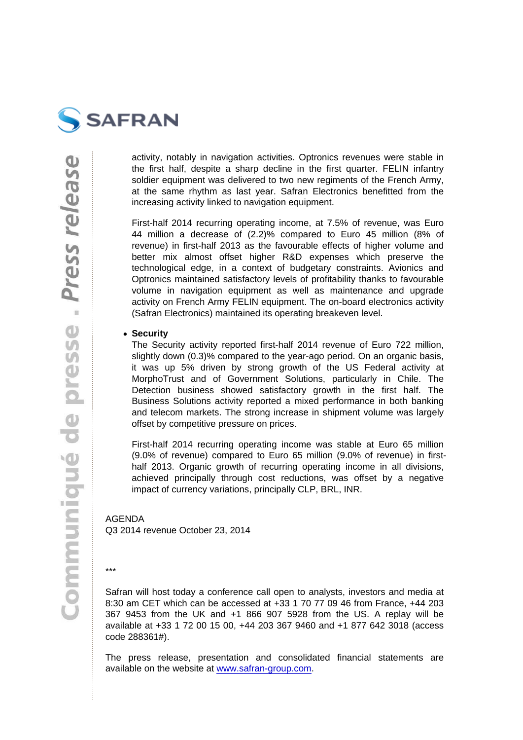activity, notably in navigation activities. Optronics revenues were stable in the first half, despite a sharp decline in the first quarter. FELIN infantry soldier equipment was delivered to two new regiments of the French Army, at the same rhythm as last year. Safran Electronics benefitted from the increasing activity linked to navigation equipment.

First-half 2014 recurring operating income, at 7.5% of revenue, was Euro 44 million a decrease of (2.2)% compared to Euro 45 million (8% of revenue) in first-half 2013 as the favourable effects of higher volume and better mix almost offset higher R&D expenses which preserve the technological edge, in a context of budgetary constraints. Avionics and Optronics maintained satisfactory levels of profitability thanks to favourable volume in navigation equipment as well as maintenance and upgrade activity on French Army FELIN equipment. The on-board electronics activity (Safran Electronics) maintained its operating breakeven level.

• Security

The Security activity reported first-half 2014 revenue of Euro 722 million, slightly down (0.3)% compared to the year-ago period. On an organic basis, it was up 5% driven by strong growth of the US Federal activity at MorphoTrust and of Government Solutions, particularly in Chile. The Detection business showed satisfactory growth in the first half. The Business Solutions activity reported a mixed performance in both banking and telecom markets. The strong increase in shipment volume was largely offset by competitive pressure on prices.

First-half 2014 recurring operating income was stable at Euro 65 million (9.0% of revenue) compared to Euro 65 million (9.0% of revenue) in firsthalf 2013. Organic growth of recurring operating income in all divisions, achieved principally through cost reductions, was offset by a negative impact of currency variations, principally CLP, BRL, INR.

### AGENDA

Q3 2014 revenue October 23, 2014

\*\*\*

Safran will host today a conference call open to analysts, investors and media at 8:30 am CET which can be accessed at +33 1 70 77 09 46 from France, +44 203 367 9453 from the UK and +1 866 907 5928 from the US. A replay will be available at +33 1 72 00 15 00, +44 203 367 9460 and +1 877 642 3018 (access code 288361#).

The press release, presentation and consolidated financial statements are available on the website at www.safran-group.com.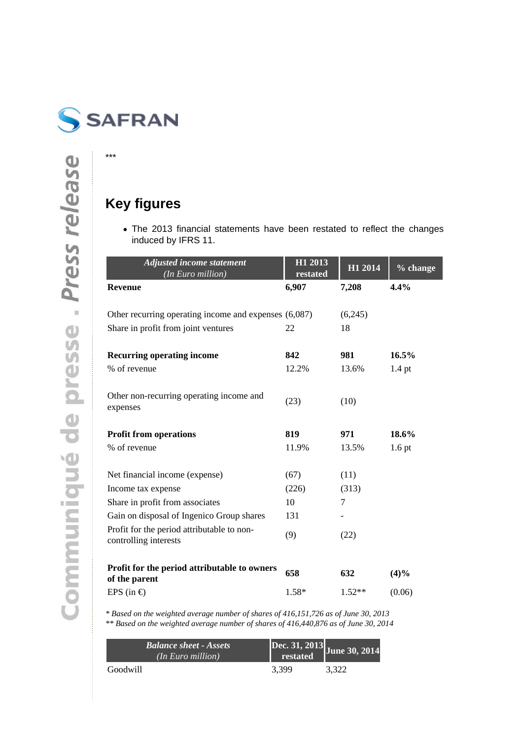

\*\*\*

# **Key figures**

The 2013 financial statements have been restated to reflect the changes induced by IFRS 11.

| <b>Adjusted income statement</b><br>(In Euro million)               | H1 2013<br>restated | H1 2014  | % change          |
|---------------------------------------------------------------------|---------------------|----------|-------------------|
| <b>Revenue</b>                                                      | 6,907               | 7,208    | 4.4%              |
|                                                                     |                     |          |                   |
| Other recurring operating income and expenses (6,087)               |                     | (6,245)  |                   |
| Share in profit from joint ventures                                 | 22                  | 18       |                   |
| <b>Recurring operating income</b>                                   | 842                 | 981      | 16.5%             |
| % of revenue                                                        | 12.2%               | 13.6%    | $1.4$ pt          |
| Other non-recurring operating income and<br>expenses                | (23)                | (10)     |                   |
| <b>Profit from operations</b>                                       | 819                 | 971      | 18.6%             |
| % of revenue                                                        | 11.9%               | 13.5%    | 1.6 <sub>pt</sub> |
| Net financial income (expense)                                      | (67)                | (11)     |                   |
| Income tax expense                                                  | (226)               | (313)    |                   |
| Share in profit from associates                                     | 10                  | 7        |                   |
| Gain on disposal of Ingenico Group shares                           | 131                 |          |                   |
| Profit for the period attributable to non-<br>controlling interests | (9)                 | (22)     |                   |
| Profit for the period attributable to owners<br>of the parent       | 658                 | 632      | (4)%              |
| EPS (in $\epsilon$ )                                                | 1.58*               | $1.52**$ | (0.06)            |

*\* Based on the weighted average number of shares of 416,151,726 as of June 30, 2013 \*\* Based on the weighted average number of shares of 416,440,876 as of June 30, 2014*

| <b>Balance sheet - Assets</b><br>(n Euro million) | Dec. 31, 2013<br>restated June 30, 201 |       |
|---------------------------------------------------|----------------------------------------|-------|
| Goodwill                                          | 3.399                                  | 3.322 |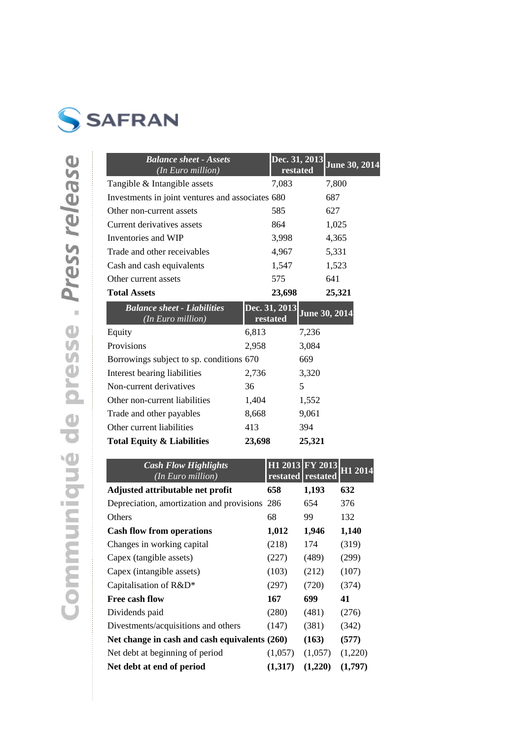

| <b>Balance sheet - Assets</b><br>(In Euro million)      |        | Dec. 31, 2013<br>restated |        | June 30, 2014 |
|---------------------------------------------------------|--------|---------------------------|--------|---------------|
| Tangible & Intangible assets                            |        | 7,083                     |        | 7,800         |
| Investments in joint ventures and associates 680        |        |                           |        | 687           |
| Other non-current assets                                |        | 585                       |        | 627           |
| Current derivatives assets                              |        | 864                       |        | 1,025         |
| Inventories and WIP                                     |        | 3,998                     |        | 4,365         |
| Trade and other receivables                             |        | 4,967                     |        | 5,331         |
| Cash and cash equivalents                               |        | 1,547                     |        | 1,523         |
| Other current assets                                    |        | 575                       |        | 641           |
| <b>Total Assets</b>                                     |        | 23,698                    |        | 25,321        |
| <b>Balance sheet - Liabilities</b><br>(In Euro million) |        | Dec. 31, 2013<br>restated |        | June 30, 2014 |
| Equity                                                  | 6,813  |                           | 7,236  |               |
| Provisions                                              | 2,958  |                           | 3,084  |               |
| Borrowings subject to sp. conditions 670                |        |                           | 669    |               |
| Interest bearing liabilities                            | 2,736  |                           | 3,320  |               |
| Non-current derivatives                                 | 36     |                           | 5      |               |
| Other non-current liabilities                           | 1,404  |                           | 1,552  |               |
| Trade and other payables                                | 8,668  |                           | 9,061  |               |
| Other current liabilities                               | 413    |                           | 394    |               |
| <b>Total Equity &amp; Liabilities</b>                   | 23,698 |                           | 25,321 |               |

| <b>Cash Flow Highlights</b><br>(In Euro mill <u>ion)</u> |         | H1 2013 FY 2013<br>restated restated | H1 2014 |
|----------------------------------------------------------|---------|--------------------------------------|---------|
| Adjusted attributable net profit                         | 658     | 1,193                                | 632     |
| Depreciation, amortization and provisions 286            |         | 654                                  | 376     |
| Others                                                   | 68      | 99                                   | 132     |
| <b>Cash flow from operations</b>                         | 1,012   | 1,946                                | 1,140   |
| Changes in working capital                               | (218)   | 174                                  | (319)   |
| Capex (tangible assets)                                  | (227)   | (489)                                | (299)   |
| Capex (intangible assets)                                | (103)   | (212)                                | (107)   |
| Capitalisation of R&D*                                   | (297)   | (720)                                | (374)   |
| Free cash flow                                           | 167     | 699                                  | 41      |
| Dividends paid                                           | (280)   | (481)                                | (276)   |
| Divestments/acquisitions and others                      | (147)   | (381)                                | (342)   |
| Net change in cash and cash equivalents (260)            |         | (163)                                | (577)   |
| Net debt at beginning of period                          | (1,057) | (1,057)                              | (1,220) |
| Net debt at end of period                                | (1,317) | (1,220)                              | (1,797) |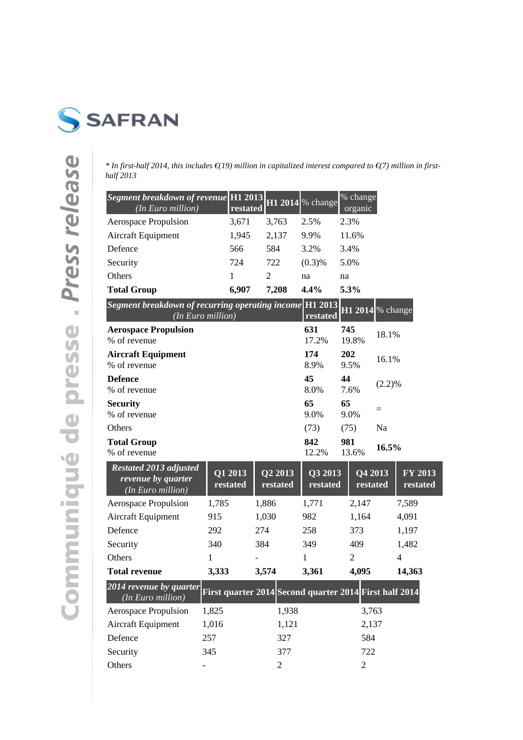

*\* In first-half 2014, this includes €(19) million in capitalized interest compared to €(7) million in firsthalf 2013*

| Segment breakdown of revenue H1 2013 H1 2014 % change<br>(In Euro million) | restated |       |        | % change<br>organic |
|----------------------------------------------------------------------------|----------|-------|--------|---------------------|
| Aerospace Propulsion                                                       | 3,671    | 3,763 | 2.5%   | 2.3%                |
| <b>Aircraft Equipment</b>                                                  | 1,945    | 2,137 | 9.9%   | 11.6%               |
| Defence                                                                    | 566      | 584   | 3.2%   | 3.4%                |
| Security                                                                   | 724      | 722   | (0.3)% | 5.0%                |
| Others                                                                     |          | 2     | na     | na                  |
| <b>Total Group</b>                                                         | 6.907    | 7.208 | 4.4%   | 5.3%                |

| <i>Segment breakdown of recurring operating income</i> $\left[\text{H1 } 2013 \right]$ $\text{H1 } 2014$ % change<br>(In Euro million) | restated |            |           |
|----------------------------------------------------------------------------------------------------------------------------------------|----------|------------|-----------|
| <b>Aerospace Propulsion</b>                                                                                                            | 631      | 745        | 18.1%     |
| % of revenue                                                                                                                           | 17.2%    | 19.8%      |           |
| <b>Aircraft Equipment</b>                                                                                                              | 174      | <b>202</b> | 16.1%     |
| % of revenue                                                                                                                           | 8.9%     | 9.5%       |           |
| <b>Defence</b>                                                                                                                         | 45       | 44         | $(2.2)\%$ |
| % of revenue                                                                                                                           | 8.0%     | 7.6%       |           |
| <b>Security</b>                                                                                                                        | 65       | 65         | $=$       |
| % of revenue                                                                                                                           | 9.0%     | 9.0%       |           |
| Others                                                                                                                                 | (73)     | (75)       | Na        |
| <b>Total Group</b>                                                                                                                     | 842      | 981        | $16.5\%$  |
| % of revenue                                                                                                                           | 12.2%    | 13.6%      |           |

| <b>Restated 2013 adjusted</b><br>revenue by quarter<br>(In Euro million) | Q1 2013<br>restated | Q2 2013<br>restated | Q3 2013<br>restated                                    | Q4 2013<br>restated | $\overline{\text{FY }2013}$<br>restated |
|--------------------------------------------------------------------------|---------------------|---------------------|--------------------------------------------------------|---------------------|-----------------------------------------|
| Aerospace Propulsion                                                     | 1,785               | 1,886               | 1,771                                                  | 2,147               | 7,589                                   |
| Aircraft Equipment                                                       | 915                 | 1,030               | 982                                                    | 1,164               | 4,091                                   |
| Defence                                                                  | 292                 | 274                 | 258                                                    | 373                 | 1,197                                   |
| Security                                                                 | 340                 | 384                 | 349                                                    | 409                 | 1,482                                   |
| <b>Others</b>                                                            | 1                   |                     | 1                                                      | $\mathfrak{D}$      | $\overline{4}$                          |
| <b>Total revenue</b>                                                     | 3,333               | 3,574               | 3,361                                                  | 4,095               | 14,363                                  |
| 2014 revenue by quarter<br>(In Euro million)                             |                     |                     | First quarter 2014 Second quarter 2014 First half 2014 |                     |                                         |
| Aerospace Propulsion                                                     | 1,825               | 1,938               |                                                        | 3,763               |                                         |
| Aircraft Equipment                                                       | 1,016               | 1,121               |                                                        | 2,137               |                                         |
| Defence                                                                  | 257                 | 327                 |                                                        | 584                 |                                         |
| Security                                                                 | 345                 | 377                 |                                                        | 722                 |                                         |
| Others                                                                   |                     | $\mathfrak{2}$      |                                                        | 2                   |                                         |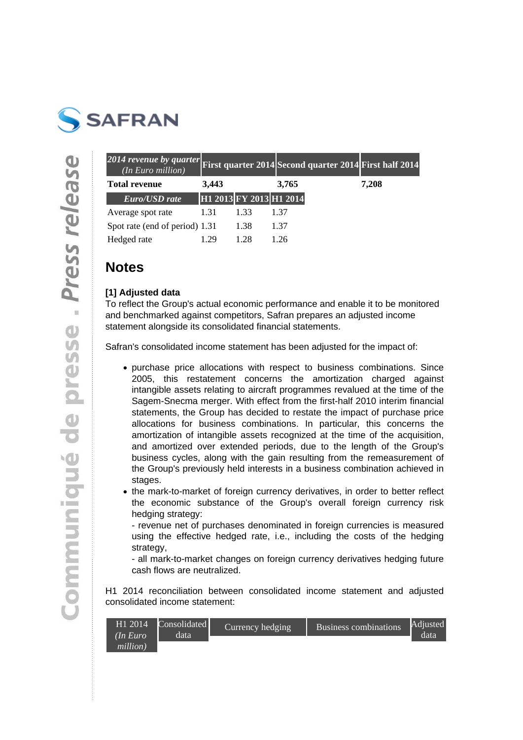

| 2014 revenue by quarter First quarter 2014 Second quarter 2014 First half 2014<br>(In Euro million) |       |                         |       |       |
|-----------------------------------------------------------------------------------------------------|-------|-------------------------|-------|-------|
| <b>Total revenue</b>                                                                                | 3,443 |                         | 3,765 | 7,208 |
| Euro/USD rate                                                                                       |       | H1 2013 FY 2013 H1 2014 |       |       |
| Average spot rate                                                                                   | 1.31  | 1.33                    | 1.37  |       |
| Spot rate (end of period) 1.31                                                                      |       | 1.38                    | 1.37  |       |
| Hedged rate                                                                                         | -29   | 128                     | -26   |       |

## **Notes**

### **[1] Adjusted data**

To reflect the Group's actual economic performance and enable it to be monitored and benchmarked against competitors, Safran prepares an adjusted income statement alongside its consolidated financial statements.

Safran's consolidated income statement has been adjusted for the impact of:

- purchase price allocations with respect to business combinations. Since 2005, this restatement concerns the amortization charged against intangible assets relating to aircraft programmes revalued at the time of the Sagem-Snecma merger. With effect from the first-half 2010 interim financial statements, the Group has decided to restate the impact of purchase price allocations for business combinations. In particular, this concerns the amortization of intangible assets recognized at the time of the acquisition, and amortized over extended periods, due to the length of the Group's business cycles, along with the gain resulting from the remeasurement of the Group's previously held interests in a business combination achieved in stages.
- the mark-to-market of foreign currency derivatives, in order to better reflect the economic substance of the Group's overall foreign currency risk hedging strategy:

- revenue net of purchases denominated in foreign currencies is measured using the effective hedged rate, i.e., including the costs of the hedging strategy,

- all mark-to-market changes on foreign currency derivatives hedging future cash flows are neutralized.

H1 2014 reconciliation between consolidated income statement and adjusted consolidated income statement:

| H1 2014  | Consolidated | Currency hedging | <b>Business combinations</b> | Adjusted |
|----------|--------------|------------------|------------------------------|----------|
| (In Euro | data         |                  |                              | data     |
| million) |              |                  |                              |          |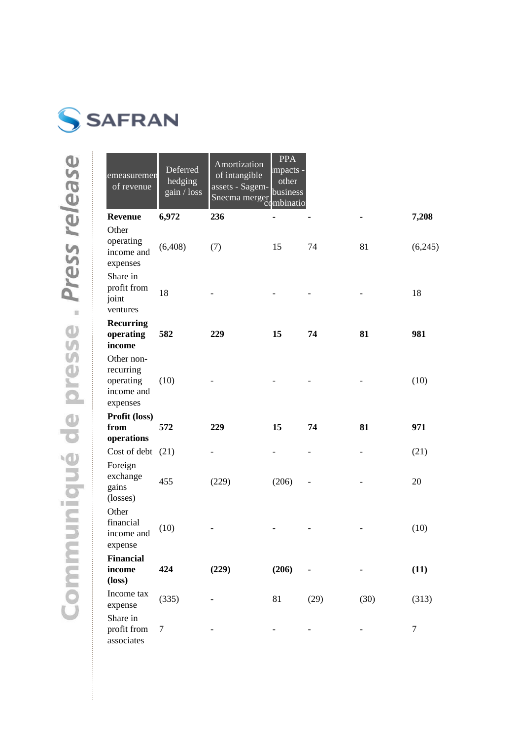

| emeasuremen<br>of revenue                                      | Deferred<br>hedging<br>gain / loss | <b>Amortization</b><br>of intangible<br>assets - Sagem-<br>Snecma merger combination | <b>PPA</b><br>impacts -<br>other<br>business |      |      |         |
|----------------------------------------------------------------|------------------------------------|--------------------------------------------------------------------------------------|----------------------------------------------|------|------|---------|
| <b>Revenue</b>                                                 | 6,972                              | 236                                                                                  |                                              |      |      | 7,208   |
| Other<br>operating<br>income and<br>expenses                   | (6,408)                            | (7)                                                                                  | 15                                           | 74   | 81   | (6,245) |
| Share in<br>profit from<br>joint<br>ventures                   | 18                                 |                                                                                      |                                              |      |      | 18      |
| <b>Recurring</b><br>operating<br>income                        | 582                                | 229                                                                                  | 15                                           | 74   | 81   | 981     |
| Other non-<br>recurring<br>operating<br>income and<br>expenses | (10)                               |                                                                                      |                                              |      |      | (10)    |
| Profit (loss)                                                  |                                    |                                                                                      |                                              |      |      |         |
| from<br>operations                                             | 572                                | 229                                                                                  | 15                                           | 74   | 81   | 971     |
| Cost of debt (21)                                              |                                    |                                                                                      |                                              |      |      | (21)    |
| Foreign<br>exchange<br>gains<br>(losses)                       | 455                                | (229)                                                                                | (206)                                        |      |      | 20      |
| Other<br>financial<br>income and<br>expense                    | (10)                               |                                                                                      |                                              |      |      | (10)    |
| Financial                                                      |                                    |                                                                                      |                                              |      |      |         |
| income<br>$(\text{loss})$                                      | 424                                | (229)                                                                                | (206)                                        |      |      | (11)    |
| Income tax<br>expense                                          | (335)                              |                                                                                      | 81                                           | (29) | (30) | (313)   |
| Share in<br>profit from<br>associates                          | 7                                  |                                                                                      |                                              |      |      | 7       |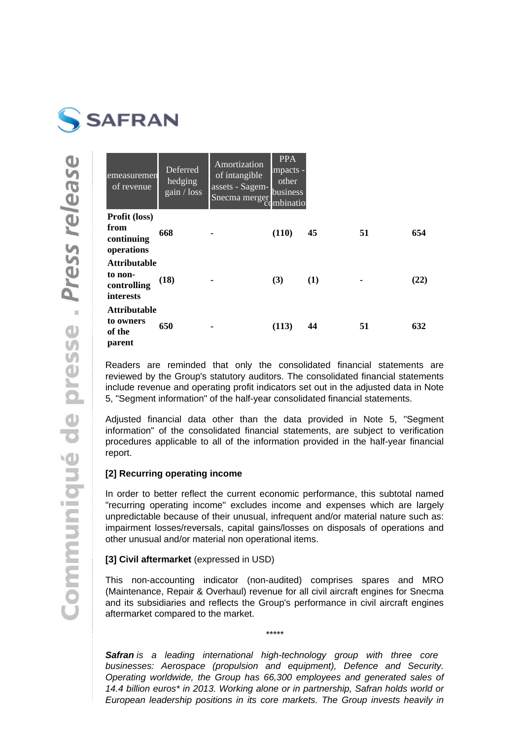

| emeasuremen<br>of revenue                                  | Deferred<br>hedging<br>gain / loss | Amortization<br>of intangible<br>assets - Sagem-<br>Snecma merger<br>C) | <b>PPA</b><br>impacts -<br>other<br>business<br>mbinatio |     |    |      |
|------------------------------------------------------------|------------------------------------|-------------------------------------------------------------------------|----------------------------------------------------------|-----|----|------|
| Profit (loss)<br>from<br>continuing<br>operations          | 668                                |                                                                         | (110)                                                    | 45  | 51 | 654  |
| <b>Attributable</b><br>to non-<br>controlling<br>interests | (18)                               |                                                                         | (3)                                                      | (1) |    | (22) |
| <b>Attributable</b><br>to owners<br>of the<br>parent       | 650                                |                                                                         | (113)                                                    | 44  | 51 | 632  |

Readers are reminded that only the consolidated financial statements are reviewed by the Group's statutory auditors. The consolidated financial statements include revenue and operating profit indicators set out in the adjusted data in Note 5, "Segment information" of the half-year consolidated financial statements.

Adjusted financial data other than the data provided in Note 5, "Segment information" of the consolidated financial statements, are subject to verification procedures applicable to all of the information provided in the half-year financial report.

### **[2] Recurring operating income**

In order to better reflect the current economic performance, this subtotal named "recurring operating income" excludes income and expenses which are largely unpredictable because of their unusual, infrequent and/or material nature such as: impairment losses/reversals, capital gains/losses on disposals of operations and other unusual and/or material non operational items.

### **[3] Civil aftermarket** (expressed in USD)

This non-accounting indicator (non-audited) comprises spares and MRO (Maintenance, Repair & Overhaul) revenue for all civil aircraft engines for Snecma and its subsidiaries and reflects the Group's performance in civil aircraft engines aftermarket compared to the market.

\*\*\*\*\*

**Safran** is a leading international high-technology group with three core businesses: Aerospace (propulsion and equipment), Defence and Security. Operating worldwide, the Group has 66,300 employees and generated sales of 14.4 billion euros\* in 2013. Working alone or in partnership, Safran holds world or European leadership positions in its core markets. The Group invests heavily in